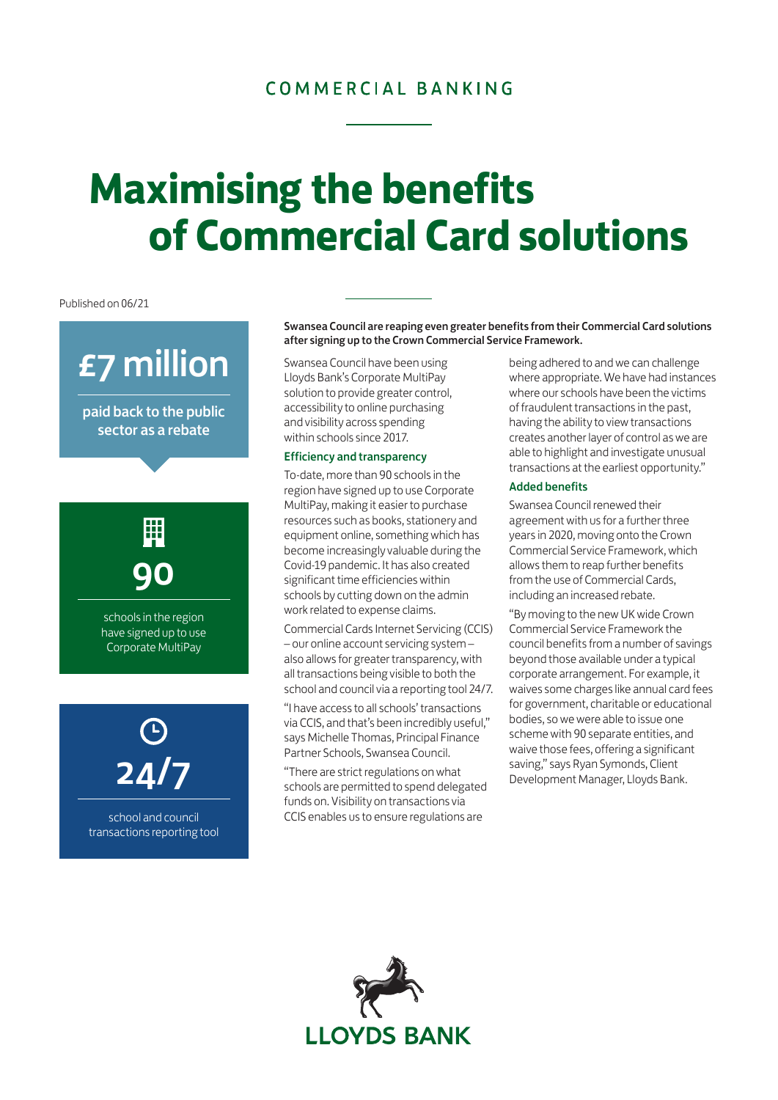### COMMERCIAL BANKING

## **Maximising the benefits of Commercial Card solutions**

Published on 06/21

## £7 million

paid back to the public sector as a rebate

# 90

schools in the region have signed up to use Corporate MultiPay



school and council transactions reporting tool Swansea Council are reaping even greater benefits from their Commercial Card solutions after signing up to the Crown Commercial Service Framework.

Swansea Council have been using Lloyds Bank's Corporate MultiPay solution to provide greater control, accessibility to online purchasing and visibility across spending within schools since 2017.

### Efficiency and transparency

To-date, more than 90 schools in the region have signed up to use Corporate MultiPay, making it easier to purchase resources such as books, stationery and equipment online, something which has become increasingly valuable during the Covid-19 pandemic. It has also created significant time efficiencies within schools by cutting down on the admin work related to expense claims.

Commercial Cards Internet Servicing (CCIS) – our online account servicing system – also allows for greater transparency, with all transactions being visible to both the school and council via a reporting tool 24/7.

"I have access to all schools' transactions via CCIS, and that's been incredibly useful," says Michelle Thomas, Principal Finance Partner Schools, Swansea Council.

"There are strict regulations on what schools are permitted to spend delegated funds on. Visibility on transactions via CCIS enables us to ensure regulations are

being adhered to and we can challenge where appropriate. We have had instances where our schools have been the victims of fraudulent transactions in the past, having the ability to view transactions creates another layer of control as we are able to highlight and investigate unusual transactions at the earliest opportunity."

#### Added benefits

Swansea Council renewed their agreement with us for a further three years in 2020, moving onto the Crown Commercial Service Framework, which allows them to reap further benefits from the use of Commercial Cards, including an increased rebate.

"By moving to the new UK wide Crown Commercial Service Framework the council benefits from a number of savings beyond those available under a typical corporate arrangement. For example, it waives some charges like annual card fees for government, charitable or educational bodies, so we were able to issue one scheme with 90 separate entities, and waive those fees, offering a significant saving," says Ryan Symonds, Client Development Manager, Lloyds Bank.